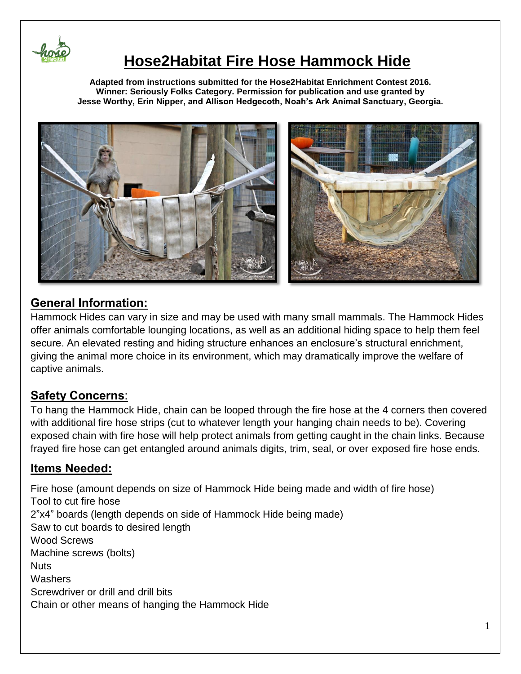

# **Hose2Habitat Fire Hose Hammock Hide**

**Adapted from instructions submitted for the Hose2Habitat Enrichment Contest 2016. Winner: Seriously Folks Category. Permission for publication and use granted by Jesse Worthy, Erin Nipper, and Allison Hedgecoth, Noah's Ark Animal Sanctuary, Georgia.**



## **General Information:**

Hammock Hides can vary in size and may be used with many small mammals. The Hammock Hides offer animals comfortable lounging locations, as well as an additional hiding space to help them feel secure. An elevated resting and hiding structure enhances an enclosure's structural enrichment, giving the animal more choice in its environment, which may dramatically improve the welfare of captive animals.

## **Safety Concerns**:

To hang the Hammock Hide, chain can be looped through the fire hose at the 4 corners then covered with additional fire hose strips (cut to whatever length your hanging chain needs to be). Covering exposed chain with fire hose will help protect animals from getting caught in the chain links. Because frayed fire hose can get entangled around animals digits, trim, seal, or over exposed fire hose ends.

## **Items Needed:**

Fire hose (amount depends on size of Hammock Hide being made and width of fire hose) Tool to cut fire hose 2"x4" boards (length depends on side of Hammock Hide being made) Saw to cut boards to desired length Wood Screws Machine screws (bolts) **Nuts Washers** Screwdriver or drill and drill bits Chain or other means of hanging the Hammock Hide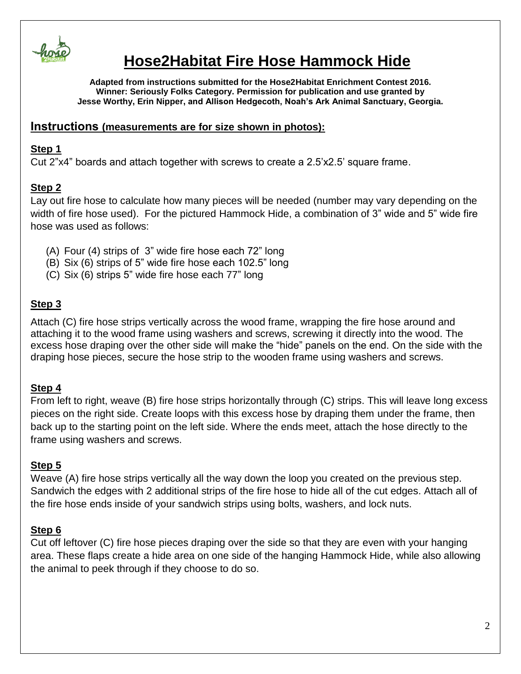

# **Hose2Habitat Fire Hose Hammock Hide**

**Adapted from instructions submitted for the Hose2Habitat Enrichment Contest 2016. Winner: Seriously Folks Category. Permission for publication and use granted by Jesse Worthy, Erin Nipper, and Allison Hedgecoth, Noah's Ark Animal Sanctuary, Georgia.**

#### **Instructions (measurements are for size shown in photos):**

#### **Step 1**

Cut 2"x4" boards and attach together with screws to create a 2.5'x2.5' square frame.

### **Step 2**

Lay out fire hose to calculate how many pieces will be needed (number may vary depending on the width of fire hose used). For the pictured Hammock Hide, a combination of 3" wide and 5" wide fire hose was used as follows:

- (A) Four (4) strips of 3" wide fire hose each 72" long
- (B) Six (6) strips of 5" wide fire hose each 102.5" long
- (C) Six (6) strips 5" wide fire hose each 77" long

### **Step 3**

Attach (C) fire hose strips vertically across the wood frame, wrapping the fire hose around and attaching it to the wood frame using washers and screws, screwing it directly into the wood. The excess hose draping over the other side will make the "hide" panels on the end. On the side with the draping hose pieces, secure the hose strip to the wooden frame using washers and screws.

### **Step 4**

From left to right, weave (B) fire hose strips horizontally through (C) strips. This will leave long excess pieces on the right side. Create loops with this excess hose by draping them under the frame, then back up to the starting point on the left side. Where the ends meet, attach the hose directly to the frame using washers and screws.

### **Step 5**

Weave (A) fire hose strips vertically all the way down the loop you created on the previous step. Sandwich the edges with 2 additional strips of the fire hose to hide all of the cut edges. Attach all of the fire hose ends inside of your sandwich strips using bolts, washers, and lock nuts.

### **Step 6**

Cut off leftover (C) fire hose pieces draping over the side so that they are even with your hanging area. These flaps create a hide area on one side of the hanging Hammock Hide, while also allowing the animal to peek through if they choose to do so.